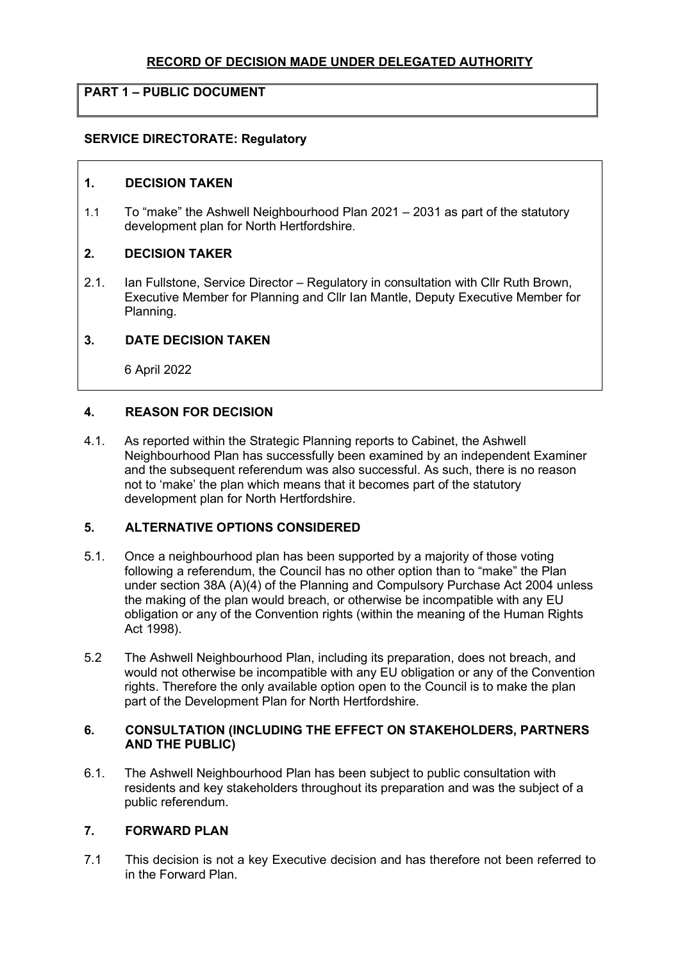# RECORD OF DECISION MADE UNDER DELEGATED AUTHORITY

# PART 1 – PUBLIC DOCUMENT

## SERVICE DIRECTORATE: Regulatory

### 1. DECISION TAKEN

1.1 To "make" the Ashwell Neighbourhood Plan 2021 – 2031 as part of the statutory development plan for North Hertfordshire.

## 2. DECISION TAKER

2.1. Ian Fullstone, Service Director – Regulatory in consultation with Cllr Ruth Brown, Executive Member for Planning and Cllr Ian Mantle, Deputy Executive Member for Planning.

## 3. DATE DECISION TAKEN

6 April 2022

## 4. REASON FOR DECISION

4.1. As reported within the Strategic Planning reports to Cabinet, the Ashwell Neighbourhood Plan has successfully been examined by an independent Examiner and the subsequent referendum was also successful. As such, there is no reason not to 'make' the plan which means that it becomes part of the statutory development plan for North Hertfordshire.

## 5. ALTERNATIVE OPTIONS CONSIDERED

- 5.1. Once a neighbourhood plan has been supported by a majority of those voting following a referendum, the Council has no other option than to "make" the Plan under section 38A (A)(4) of the Planning and Compulsory Purchase Act 2004 unless the making of the plan would breach, or otherwise be incompatible with any EU obligation or any of the Convention rights (within the meaning of the Human Rights Act 1998).
- 5.2 The Ashwell Neighbourhood Plan, including its preparation, does not breach, and would not otherwise be incompatible with any EU obligation or any of the Convention rights. Therefore the only available option open to the Council is to make the plan part of the Development Plan for North Hertfordshire.

### 6. CONSULTATION (INCLUDING THE EFFECT ON STAKEHOLDERS, PARTNERS AND THE PUBLIC)

6.1. The Ashwell Neighbourhood Plan has been subject to public consultation with residents and key stakeholders throughout its preparation and was the subject of a public referendum.

# 7. FORWARD PLAN

7.1 This decision is not a key Executive decision and has therefore not been referred to in the Forward Plan.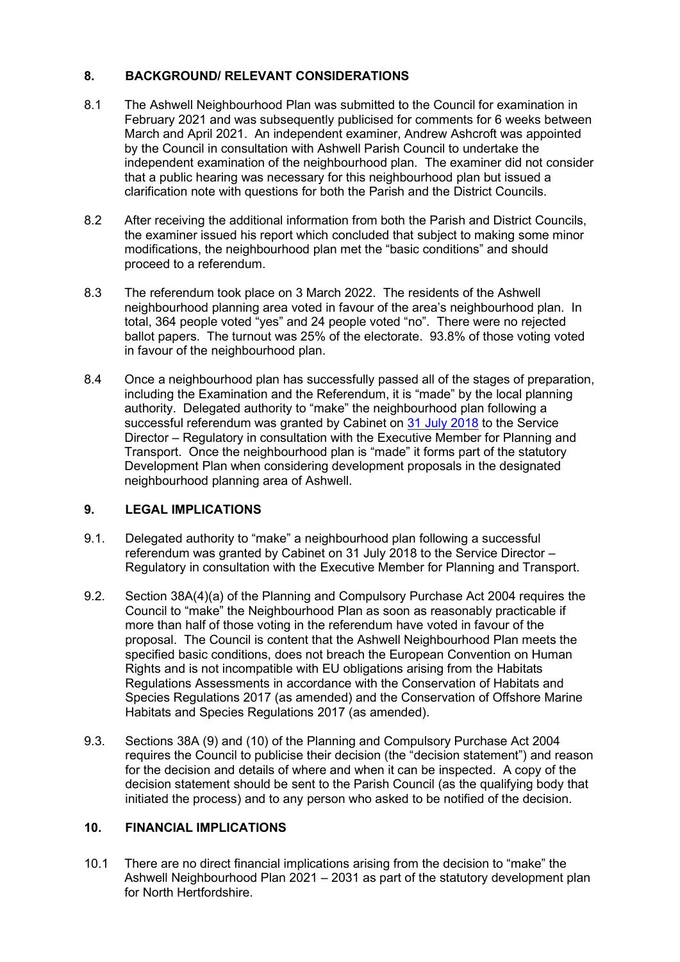# 8. BACKGROUND/ RELEVANT CONSIDERATIONS

- 8.1 The Ashwell Neighbourhood Plan was submitted to the Council for examination in February 2021 and was subsequently publicised for comments for 6 weeks between March and April 2021. An independent examiner, Andrew Ashcroft was appointed by the Council in consultation with Ashwell Parish Council to undertake the independent examination of the neighbourhood plan. The examiner did not consider that a public hearing was necessary for this neighbourhood plan but issued a clarification note with questions for both the Parish and the District Councils.
- 8.2 After receiving the additional information from both the Parish and District Councils, the examiner issued his report which concluded that subject to making some minor modifications, the neighbourhood plan met the "basic conditions" and should proceed to a referendum.
- 8.3 The referendum took place on 3 March 2022. The residents of the Ashwell neighbourhood planning area voted in favour of the area's neighbourhood plan. In total, 364 people voted "yes" and 24 people voted "no". There were no rejected ballot papers. The turnout was 25% of the electorate. 93.8% of those voting voted in favour of the neighbourhood plan.
- 8.4 Once a neighbourhood plan has successfully passed all of the stages of preparation, including the Examination and the Referendum, it is "made" by the local planning authority. Delegated authority to "make" the neighbourhood plan following a successful referendum was granted by Cabinet on 31 July 2018 to the Service Director – Regulatory in consultation with the Executive Member for Planning and Transport. Once the neighbourhood plan is "made" it forms part of the statutory Development Plan when considering development proposals in the designated neighbourhood planning area of Ashwell.

## 9. LEGAL IMPLICATIONS

- 9.1. Delegated authority to "make" a neighbourhood plan following a successful referendum was granted by Cabinet on 31 July 2018 to the Service Director – Regulatory in consultation with the Executive Member for Planning and Transport.
- 9.2. Section 38A(4)(a) of the Planning and Compulsory Purchase Act 2004 requires the Council to "make" the Neighbourhood Plan as soon as reasonably practicable if more than half of those voting in the referendum have voted in favour of the proposal. The Council is content that the Ashwell Neighbourhood Plan meets the specified basic conditions, does not breach the European Convention on Human Rights and is not incompatible with EU obligations arising from the Habitats Regulations Assessments in accordance with the Conservation of Habitats and Species Regulations 2017 (as amended) and the Conservation of Offshore Marine Habitats and Species Regulations 2017 (as amended).
- 9.3. Sections 38A (9) and (10) of the Planning and Compulsory Purchase Act 2004 requires the Council to publicise their decision (the "decision statement") and reason for the decision and details of where and when it can be inspected. A copy of the decision statement should be sent to the Parish Council (as the qualifying body that initiated the process) and to any person who asked to be notified of the decision.

## 10. FINANCIAL IMPLICATIONS

10.1 There are no direct financial implications arising from the decision to "make" the Ashwell Neighbourhood Plan 2021 – 2031 as part of the statutory development plan for North Hertfordshire.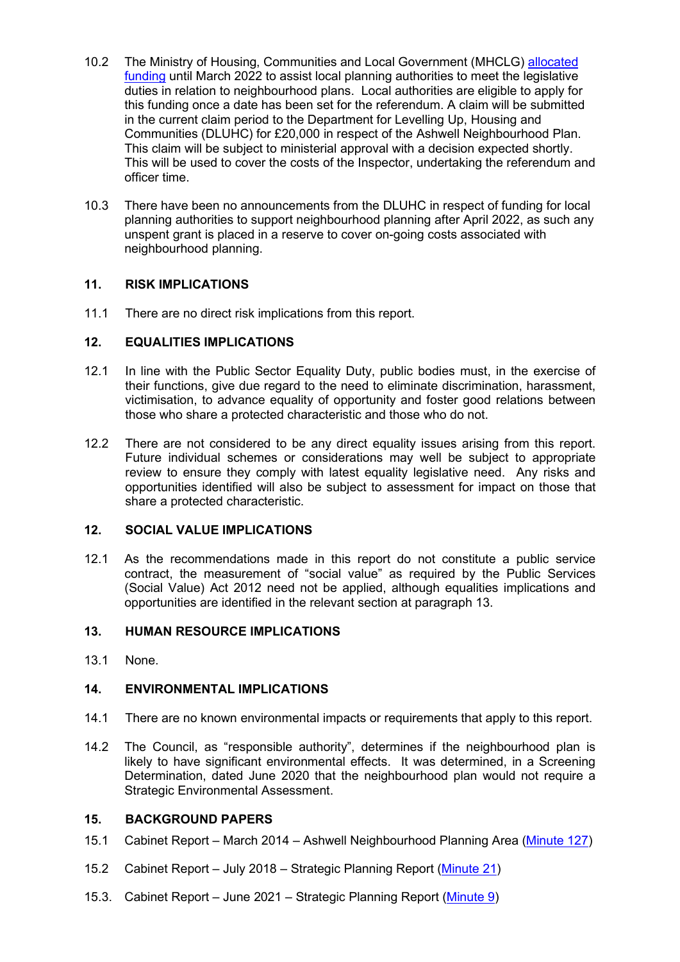- 10.2 The Ministry of Housing, Communities and Local Government (MHCLG) allocated funding until March 2022 to assist local planning authorities to meet the legislative duties in relation to neighbourhood plans. Local authorities are eligible to apply for this funding once a date has been set for the referendum. A claim will be submitted in the current claim period to the Department for Levelling Up, Housing and Communities (DLUHC) for £20,000 in respect of the Ashwell Neighbourhood Plan. This claim will be subject to ministerial approval with a decision expected shortly. This will be used to cover the costs of the Inspector, undertaking the referendum and officer time.
- 10.3 There have been no announcements from the DLUHC in respect of funding for local planning authorities to support neighbourhood planning after April 2022, as such any unspent grant is placed in a reserve to cover on-going costs associated with neighbourhood planning.

## 11. RISK IMPLICATIONS

11.1 There are no direct risk implications from this report.

## 12. EQUALITIES IMPLICATIONS

- 12.1 In line with the Public Sector Equality Duty, public bodies must, in the exercise of their functions, give due regard to the need to eliminate discrimination, harassment, victimisation, to advance equality of opportunity and foster good relations between those who share a protected characteristic and those who do not.
- 12.2 There are not considered to be any direct equality issues arising from this report. Future individual schemes or considerations may well be subject to appropriate review to ensure they comply with latest equality legislative need. Any risks and opportunities identified will also be subject to assessment for impact on those that share a protected characteristic.

### 12. SOCIAL VALUE IMPLICATIONS

12.1 As the recommendations made in this report do not constitute a public service contract, the measurement of "social value" as required by the Public Services (Social Value) Act 2012 need not be applied, although equalities implications and opportunities are identified in the relevant section at paragraph 13.

## 13. HUMAN RESOURCE IMPLICATIONS

13.1 None.

### 14. ENVIRONMENTAL IMPLICATIONS

- 14.1 There are no known environmental impacts or requirements that apply to this report.
- 14.2 The Council, as "responsible authority", determines if the neighbourhood plan is likely to have significant environmental effects. It was determined, in a Screening Determination, dated June 2020 that the neighbourhood plan would not require a Strategic Environmental Assessment.

# 15. BACKGROUND PAPERS

- 15.1 Cabinet Report March 2014 Ashwell Neighbourhood Planning Area (Minute 127)
- 15.2 Cabinet Report July 2018 Strategic Planning Report (Minute 21)
- 15.3. Cabinet Report June 2021 Strategic Planning Report (Minute 9)